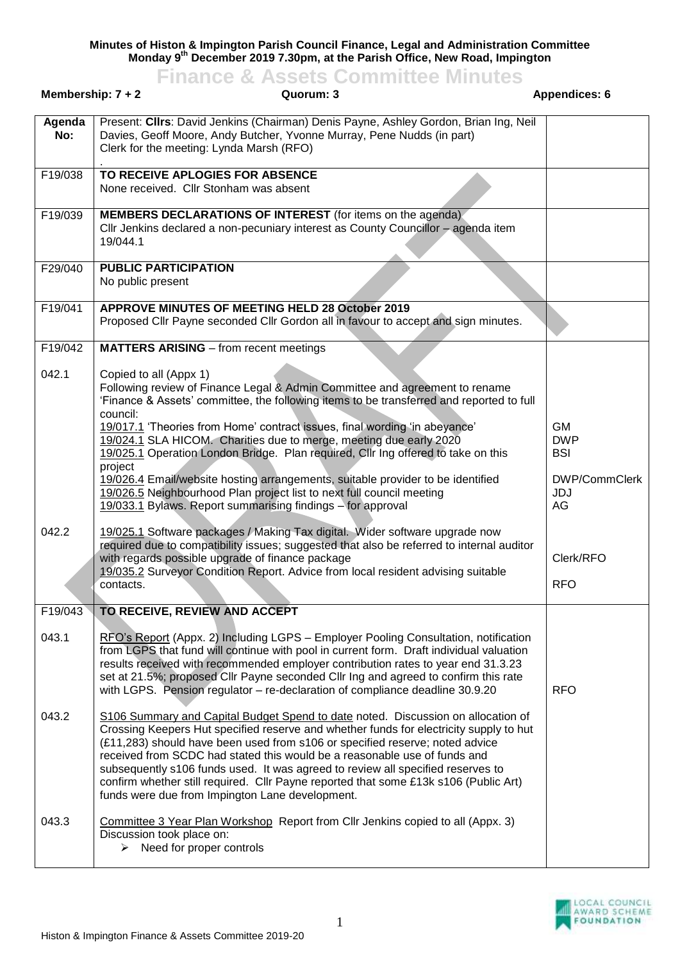**Minutes of Histon & Impington Parish Council Finance, Legal and Administration Committee Monday 9th December 2019 7.30pm, at the Parish Office, New Road, Impington Finance & Assets Committee Minutes**

| Membership: $7 + 2$ |                                    | <b>HIGHUGG</b><br>00000<br>Quorum: 3                                                                                                                                                                                                                                                                                                                                                                                                                                                                                                                                  | <b>Appendices: 6</b>                  |
|---------------------|------------------------------------|-----------------------------------------------------------------------------------------------------------------------------------------------------------------------------------------------------------------------------------------------------------------------------------------------------------------------------------------------------------------------------------------------------------------------------------------------------------------------------------------------------------------------------------------------------------------------|---------------------------------------|
| Agenda<br>No:       |                                    | Present: Cllrs: David Jenkins (Chairman) Denis Payne, Ashley Gordon, Brian Ing, Neil<br>Davies, Geoff Moore, Andy Butcher, Yvonne Murray, Pene Nudds (in part)<br>Clerk for the meeting: Lynda Marsh (RFO)                                                                                                                                                                                                                                                                                                                                                            |                                       |
| F19/038             |                                    | TO RECEIVE APLOGIES FOR ABSENCE<br>None received. Cllr Stonham was absent                                                                                                                                                                                                                                                                                                                                                                                                                                                                                             |                                       |
| F19/039             | 19/044.1                           | <b>MEMBERS DECLARATIONS OF INTEREST</b> (for items on the agenda)<br>CIIr Jenkins declared a non-pecuniary interest as County Councillor - agenda item                                                                                                                                                                                                                                                                                                                                                                                                                |                                       |
| F29/040             | No public present                  | <b>PUBLIC PARTICIPATION</b>                                                                                                                                                                                                                                                                                                                                                                                                                                                                                                                                           |                                       |
| F19/041             |                                    | APPROVE MINUTES OF MEETING HELD 28 October 2019<br>Proposed Cllr Payne seconded Cllr Gordon all in favour to accept and sign minutes.                                                                                                                                                                                                                                                                                                                                                                                                                                 |                                       |
| F19/042             |                                    | <b>MATTERS ARISING</b> – from recent meetings                                                                                                                                                                                                                                                                                                                                                                                                                                                                                                                         |                                       |
| 042.1               | Copied to all (Appx 1)<br>council: | Following review of Finance Legal & Admin Committee and agreement to rename<br>'Finance & Assets' committee, the following items to be transferred and reported to full                                                                                                                                                                                                                                                                                                                                                                                               |                                       |
|                     | project                            | 19/017.1 'Theories from Home' contract issues, final wording 'in abeyance'<br>19/024.1 SLA HICOM. Charities due to merge, meeting due early 2020<br>19/025.1 Operation London Bridge. Plan required, Cllr Ing offered to take on this                                                                                                                                                                                                                                                                                                                                 | <b>GM</b><br><b>DWP</b><br><b>BSI</b> |
|                     |                                    | 19/026.4 Email/website hosting arrangements, suitable provider to be identified<br>19/026.5 Neighbourhood Plan project list to next full council meeting<br>19/033.1 Bylaws. Report summarising findings - for approval                                                                                                                                                                                                                                                                                                                                               | DWP/CommClerk<br>JDJ<br>AG            |
| 042.2               | contacts.                          | 19/025.1 Software packages / Making Tax digital. Wider software upgrade now<br>required due to compatibility issues; suggested that also be referred to internal auditor<br>with regards possible upgrade of finance package<br>19/035.2 Surveyor Condition Report. Advice from local resident advising suitable                                                                                                                                                                                                                                                      | Clerk/RFO<br><b>RFO</b>               |
| F19/043             |                                    | TO RECEIVE, REVIEW AND ACCEPT                                                                                                                                                                                                                                                                                                                                                                                                                                                                                                                                         |                                       |
| 043.1               |                                    | RFO's Report (Appx. 2) Including LGPS - Employer Pooling Consultation, notification<br>from LGPS that fund will continue with pool in current form. Draft individual valuation<br>results received with recommended employer contribution rates to year end 31.3.23<br>set at 21.5%; proposed Cllr Payne seconded Cllr Ing and agreed to confirm this rate<br>with LGPS. Pension regulator - re-declaration of compliance deadline 30.9.20                                                                                                                            | <b>RFO</b>                            |
| 043.2               |                                    | S106 Summary and Capital Budget Spend to date noted. Discussion on allocation of<br>Crossing Keepers Hut specified reserve and whether funds for electricity supply to hut<br>(£11,283) should have been used from s106 or specified reserve; noted advice<br>received from SCDC had stated this would be a reasonable use of funds and<br>subsequently s106 funds used. It was agreed to review all specified reserves to<br>confirm whether still required. Cllr Payne reported that some £13k s106 (Public Art)<br>funds were due from Impington Lane development. |                                       |
| 043.3               |                                    | Committee 3 Year Plan Workshop Report from Cllr Jenkins copied to all (Appx. 3)<br>Discussion took place on:<br>$\triangleright$ Need for proper controls                                                                                                                                                                                                                                                                                                                                                                                                             |                                       |

LOCAL COUNCIL<br>AWARD SCHEME<br>FOUNDATION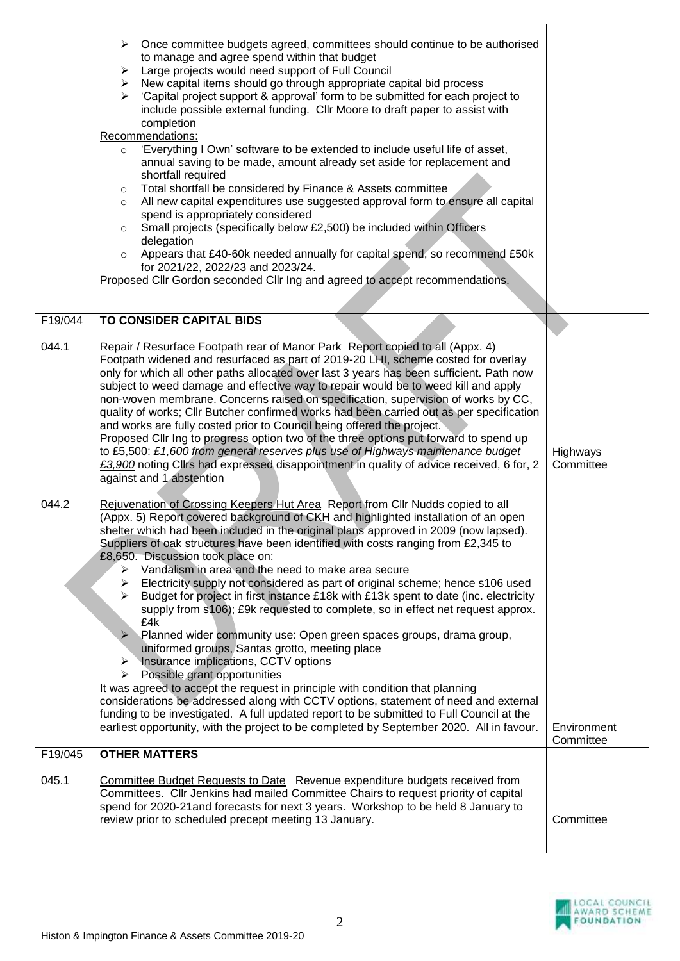|         | $\triangleright$ Once committee budgets agreed, committees should continue to be authorised<br>to manage and agree spend within that budget<br>Large projects would need support of Full Council<br>➤<br>$\triangleright$ New capital items should go through appropriate capital bid process<br>'Capital project support & approval' form to be submitted for each project to<br>$\blacktriangleright$<br>include possible external funding. Cllr Moore to draft paper to assist with<br>completion<br>Recommendations:<br>'Everything I Own' software to be extended to include useful life of asset,<br>$\circ$<br>annual saving to be made, amount already set aside for replacement and<br>shortfall required<br>Total shortfall be considered by Finance & Assets committee<br>$\circ$<br>All new capital expenditures use suggested approval form to ensure all capital<br>$\circ$<br>spend is appropriately considered<br>Small projects (specifically below £2,500) be included within Officers<br>$\circ$<br>delegation<br>Appears that £40-60k needed annually for capital spend, so recommend £50k<br>$\circ$<br>for 2021/22, 2022/23 and 2023/24.<br>Proposed Cllr Gordon seconded Cllr Ing and agreed to accept recommendations.                                                                                                                   |                          |
|---------|------------------------------------------------------------------------------------------------------------------------------------------------------------------------------------------------------------------------------------------------------------------------------------------------------------------------------------------------------------------------------------------------------------------------------------------------------------------------------------------------------------------------------------------------------------------------------------------------------------------------------------------------------------------------------------------------------------------------------------------------------------------------------------------------------------------------------------------------------------------------------------------------------------------------------------------------------------------------------------------------------------------------------------------------------------------------------------------------------------------------------------------------------------------------------------------------------------------------------------------------------------------------------------------------------------------------------------------------------------------|--------------------------|
| F19/044 | TO CONSIDER CAPITAL BIDS                                                                                                                                                                                                                                                                                                                                                                                                                                                                                                                                                                                                                                                                                                                                                                                                                                                                                                                                                                                                                                                                                                                                                                                                                                                                                                                                         |                          |
| 044.1   | Repair / Resurface Footpath rear of Manor Park Report copied to all (Appx. 4)<br>Footpath widened and resurfaced as part of 2019-20 LHI, scheme costed for overlay<br>only for which all other paths allocated over last 3 years has been sufficient. Path now<br>subject to weed damage and effective way to repair would be to weed kill and apply<br>non-woven membrane. Concerns raised on specification, supervision of works by CC,<br>quality of works; Cllr Butcher confirmed works had been carried out as per specification<br>and works are fully costed prior to Council being offered the project.<br>Proposed Cllr Ing to progress option two of the three options put forward to spend up<br>to £5,500: £1,600 from general reserves plus use of Highways maintenance budget<br>£3,900 noting Clirs had expressed disappointment in quality of advice received, 6 for, 2<br>against and 1 abstention                                                                                                                                                                                                                                                                                                                                                                                                                                              | Highways<br>Committee    |
| 044.2   | Rejuvenation of Crossing Keepers Hut Area Report from Cllr Nudds copied to all<br>(Appx. 5) Report covered background of CKH and highlighted installation of an open<br>shelter which had been included in the original plans approved in 2009 (now lapsed).<br>Suppliers of oak structures have been identified with costs ranging from £2,345 to<br>£8,650. Discussion took place on:<br>$\triangleright$ Vandalism in area and the need to make area secure<br>Electricity supply not considered as part of original scheme; hence s106 used<br>Budget for project in first instance £18k with £13k spent to date (inc. electricity<br>➤<br>supply from s106); £9k requested to complete, so in effect net request approx.<br>£4k<br>$\blacktriangleright$<br>Planned wider community use: Open green spaces groups, drama group,<br>uniformed groups, Santas grotto, meeting place<br>$\triangleright$ Insurance implications, CCTV options<br>$\triangleright$ Possible grant opportunities<br>It was agreed to accept the request in principle with condition that planning<br>considerations be addressed along with CCTV options, statement of need and external<br>funding to be investigated. A full updated report to be submitted to Full Council at the<br>earliest opportunity, with the project to be completed by September 2020. All in favour. | Environment<br>Committee |
| F19/045 | <b>OTHER MATTERS</b>                                                                                                                                                                                                                                                                                                                                                                                                                                                                                                                                                                                                                                                                                                                                                                                                                                                                                                                                                                                                                                                                                                                                                                                                                                                                                                                                             |                          |
| 045.1   | Committee Budget Requests to Date Revenue expenditure budgets received from<br>Committees. Cllr Jenkins had mailed Committee Chairs to request priority of capital<br>spend for 2020-21 and forecasts for next 3 years. Workshop to be held 8 January to<br>review prior to scheduled precept meeting 13 January.                                                                                                                                                                                                                                                                                                                                                                                                                                                                                                                                                                                                                                                                                                                                                                                                                                                                                                                                                                                                                                                | Committee                |